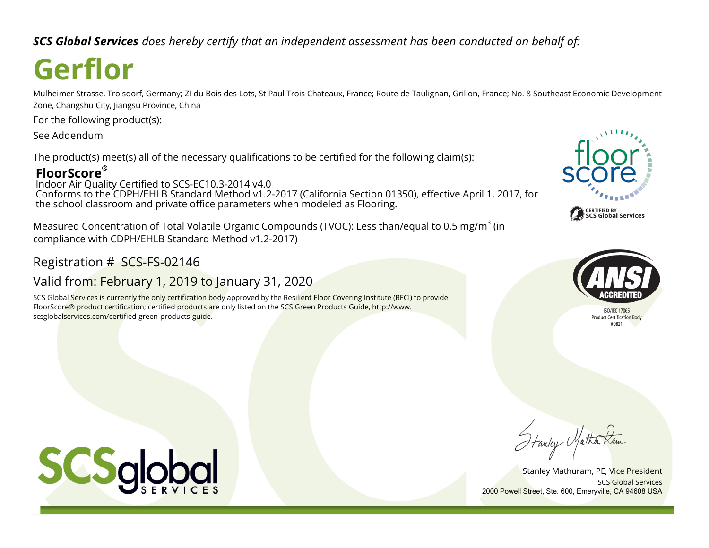*SCS Global Services does hereby certify that an independent assessment has been conducted on behalf of:*

# **Gerflor**

Mulheimer Strasse, Troisdorf, Germany; ZI du Bois des Lots, St Paul Trois Chateaux, France; Route de Taulignan, Grillon, France; No. 8 Southeast Economic Development Zone, Changshu City, Jiangsu Province, China

For the following product(s):

See Addendum

The product(s) meet(s) all of the necessary qualifications to be certified for the following claim(s):

# **FloorScore®**

Indoor Air Quality Certified to SCS-EC10.3-2014 v4.0 Conforms to the CDPH/EHLB Standard Method v1.2-2017 (California Section 01350), effective April 1, 2017, for the school classroom and private office parameters when modeled as Flooring.

Measured Concentration of Total Volatile Organic Compounds (TVOC): Less than/equal to 0.5 mg/m<sup>3</sup> (in compliance with CDPH/EHLB Standard Method v1.2-2017)

Registration # SCS-FS-02146

# Valid from: February 1, 2019 to January 31, 2020

SCS Global Services is currently the only certification body approved by the Resilient Floor Covering Institute (RFCI) to provide FloorScore® product certification; certified products are only listed on the SCS Green Products Guide, http://www. scsglobalservices.com/certified-green-products-guide.





**ISO/IFC 17065 Product Certification Body** 

Stanley Matha

SCS Global Services Stanley Mathuram, PE, Vice President 2000 Powell Street, Ste. 600, Emeryville, CA 94608 USA